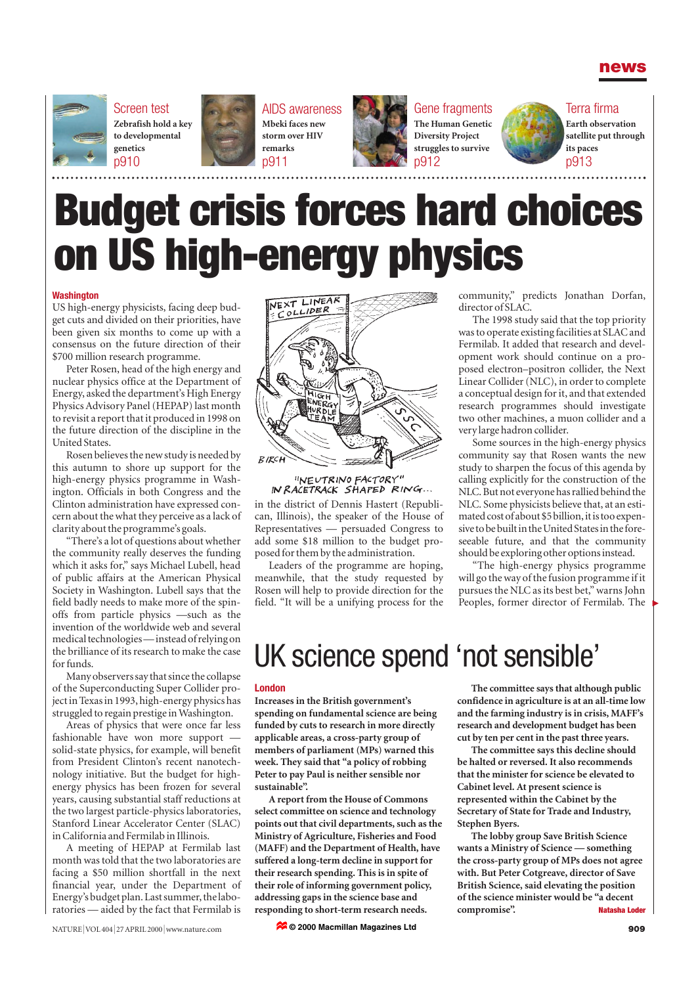



Screen test **Zebrafish hold a key to developmental genetics** p910



AIDS awareness **Mbeki faces new storm over HIV remarks** p911



Gene fragments **The Human Genetic Diversity Project struggles to survive** p912



Terra firma **Earth observation**

**satellite put through its paces** p913

# **Budget crisis forces hard choices on US high-energy physics**

#### **Washington**

US high-energy physicists, facing deep budget cuts and divided on their priorities, have been given six months to come up with a consensus on the future direction of their \$700 million research programme.

Peter Rosen, head of the high energy and nuclear physics office at the Department of Energy, asked the department's High Energy Physics Advisory Panel (HEPAP) last month to revisit a report that it produced in 1998 on the future direction of the discipline in the United States.

Rosen believes the new study is needed by this autumn to shore up support for the high-energy physics programme in Washington. Officials in both Congress and the Clinton administration have expressed concern about the what they perceive as a lack of clarity about the programme's goals.

"There's a lot of questions about whether the community really deserves the funding which it asks for," says Michael Lubell, head of public affairs at the American Physical Society in Washington. Lubell says that the field badly needs to make more of the spinoffs from particle physics —such as the invention of the worldwide web and several medical technologies — instead of relying on the brilliance of its research to make the case for funds.

Many observers say that since the collapse of the Superconducting Super Collider project in Texas in 1993, high-energy physics has struggled to regain prestige in Washington.

Areas of physics that were once far less fashionable have won more support solid-state physics, for example, will benefit from President Clinton's recent nanotechnology initiative. But the budget for highenergy physics has been frozen for several years, causing substantial staff reductions at the two largest particle-physics laboratories, Stanford Linear Accelerator Center (SLAC) in California and Fermilab in Illinois.

A meeting of HEPAP at Fermilab last month was told that the two laboratories are facing a \$50 million shortfall in the next financial year, under the Department of Energy's budget plan. Last summer, the laboratories — aided by the fact that Fermilab is



"NEUTRINO FACTORY" IN RACETRACK SHAPED RING...

in the district of Dennis Hastert (Republican, Illinois), the speaker of the House of Representatives — persuaded Congress to add some \$18 million to the budget proposed for them by the administration.

Leaders of the programme are hoping, meanwhile, that the study requested by Rosen will help to provide direction for the field. "It will be a unifying process for the community," predicts Jonathan Dorfan, director of SLAC.

The 1998 study said that the top priority was to operate existing facilities at SLAC and Fermilab. It added that research and development work should continue on a proposed electron–positron collider, the Next Linear Collider (NLC), in order to complete a conceptual design for it, and that extended research programmes should investigate two other machines, a muon collider and a very large hadron collider.

Some sources in the high-energy physics community say that Rosen wants the new study to sharpen the focus of this agenda by calling explicitly for the construction of the NLC. But not everyone has rallied behind the NLC. Some physicists believe that, at an estimated cost of about \$5 billion, it is too expensive to be built in the United States in the foreseeable future, and that the community should be exploring other options instead.

"The high-energy physics programme will go the way of the fusion programme if it pursues the NLC as its best bet," warns John Peoples, former director of Fermilab. The

## UK science spend 'not sensible'

#### **London**

**Increases in the British government's spending on fundamental science are being funded by cuts to research in more directly applicable areas, a cross-party group of members of parliament (MPs) warned this week. They said that "a policy of robbing Peter to pay Paul is neither sensible nor sustainable".**

**A report from the House of Commons select committee on science and technology points out that civil departments, such as the Ministry of Agriculture, Fisheries and Food (MAFF) and the Department of Health, have suffered a long-term decline in support for their research spending. This is in spite of their role of informing government policy, addressing gaps in the science base and responding to short-term research needs.** 

**The committee says that although public confidence in agriculture is at an all-time low and the farming industry is in crisis, MAFF's research and development budget has been cut by ten per cent in the past three years.** 

**The committee says this decline should be halted or reversed. It also recommends that the minister for science be elevated to Cabinet level. At present science is represented within the Cabinet by the Secretary of State for Trade and Industry, Stephen Byers.**

**The lobby group Save British Science wants a Ministry of Science — something the cross-party group of MPs does not agree with. But Peter Cotgreave, director of Save British Science, said elevating the position of the science minister would be "a decent compromise". Natasha Loder**

**© 2000 Macmillan Magazines Ltd**

▲